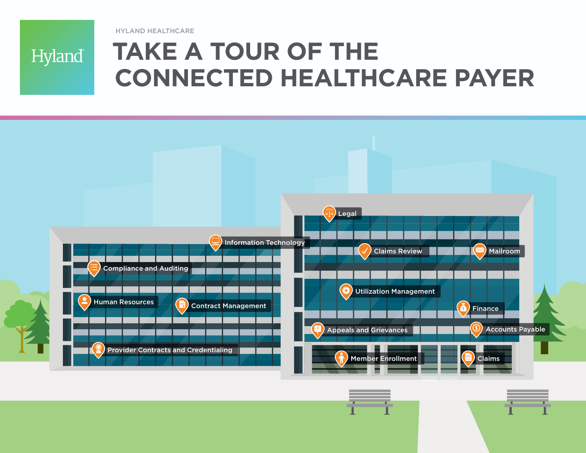HYLAND HEALTHCARE



# **TAKE A TOUR OF THE CONNECTED HEALTHCARE PAYER**